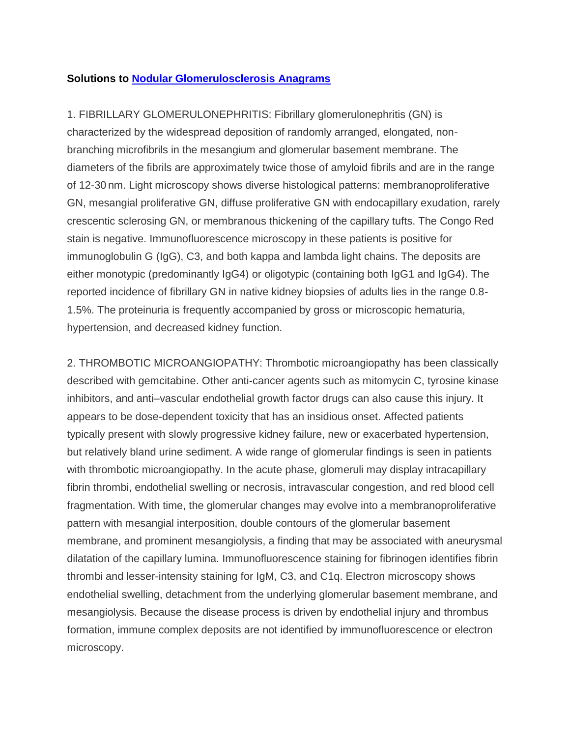## **Solutions to [Nodular Glomerulosclerosis](http://ajkdblog.org/2012/06/05/test-your-knowledge-nodular-glomerulosclerosis/) Anagrams**

1. FIBRILLARY GLOMERULONEPHRITIS: Fibrillary glomerulonephritis (GN) is characterized by the widespread deposition of randomly arranged, elongated, nonbranching microfibrils in the mesangium and glomerular basement membrane. The diameters of the fibrils are approximately twice those of amyloid fibrils and are in the range of 12-30 nm. Light microscopy shows diverse histological patterns: membranoproliferative GN, mesangial proliferative GN, diffuse proliferative GN with endocapillary exudation, rarely crescentic sclerosing GN, or membranous thickening of the capillary tufts. The Congo Red stain is negative. Immunofluorescence microscopy in these patients is positive for immunoglobulin G (IgG), C3, and both kappa and lambda light chains. The deposits are either monotypic (predominantly IgG4) or oligotypic (containing both IgG1 and IgG4). The reported incidence of fibrillary GN in native kidney biopsies of adults lies in the range 0.8- 1.5%. The proteinuria is frequently accompanied by gross or microscopic hematuria, hypertension, and decreased kidney function.

2. THROMBOTIC MICROANGIOPATHY: Thrombotic microangiopathy has been classically described with gemcitabine. Other anti-cancer agents such as mitomycin C, tyrosine kinase inhibitors, and anti–vascular endothelial growth factor drugs can also cause this injury. It appears to be dose-dependent toxicity that has an insidious onset. Affected patients typically present with slowly progressive kidney failure, new or exacerbated hypertension, but relatively bland urine sediment. A wide range of glomerular findings is seen in patients with thrombotic microangiopathy. In the acute phase, glomeruli may display intracapillary fibrin thrombi, endothelial swelling or necrosis, intravascular congestion, and red blood cell fragmentation. With time, the glomerular changes may evolve into a membranoproliferative pattern with mesangial interposition, double contours of the glomerular basement membrane, and prominent mesangiolysis, a finding that may be associated with aneurysmal dilatation of the capillary lumina. Immunofluorescence staining for fibrinogen identifies fibrin thrombi and lesser-intensity staining for IgM, C3, and C1q. Electron microscopy shows endothelial swelling, detachment from the underlying glomerular basement membrane, and mesangiolysis. Because the disease process is driven by endothelial injury and thrombus formation, immune complex deposits are not identified by immunofluorescence or electron microscopy.